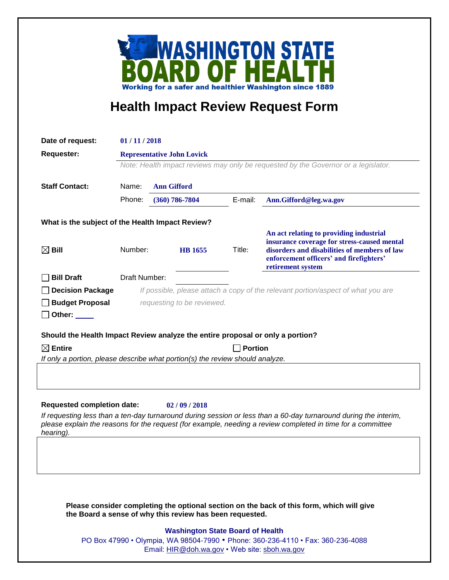

## **Health Impact Review Request Form**

| Date of request:                                                                                                                                      | 01/11/2018                                                                                                                 |                    |                    |                                         |                                                                                                                  |
|-------------------------------------------------------------------------------------------------------------------------------------------------------|----------------------------------------------------------------------------------------------------------------------------|--------------------|--------------------|-----------------------------------------|------------------------------------------------------------------------------------------------------------------|
| <b>Requester:</b>                                                                                                                                     | <b>Representative John Lovick</b><br>Note: Health impact reviews may only be requested by the Governor or a legislator.    |                    |                    |                                         |                                                                                                                  |
|                                                                                                                                                       |                                                                                                                            |                    |                    |                                         |                                                                                                                  |
|                                                                                                                                                       |                                                                                                                            |                    |                    |                                         |                                                                                                                  |
| <b>Staff Contact:</b>                                                                                                                                 | Name:                                                                                                                      | <b>Ann Gifford</b> |                    |                                         |                                                                                                                  |
|                                                                                                                                                       | Phone:                                                                                                                     |                    | $(360) 786 - 7804$ | E-mail:                                 | Ann.Gifford@leg.wa.gov                                                                                           |
| What is the subject of the Health Impact Review?                                                                                                      |                                                                                                                            |                    |                    |                                         |                                                                                                                  |
|                                                                                                                                                       |                                                                                                                            |                    |                    |                                         | An act relating to providing industrial                                                                          |
| Bill<br>Χl                                                                                                                                            | Number:                                                                                                                    |                    | <b>HB</b> 1655     | Title:                                  | insurance coverage for stress-caused mental<br>disorders and disabilities of members of law                      |
|                                                                                                                                                       |                                                                                                                            |                    |                    | enforcement officers' and firefighters' |                                                                                                                  |
|                                                                                                                                                       |                                                                                                                            |                    |                    |                                         | retirement system                                                                                                |
| <b>Bill Draft</b>                                                                                                                                     | Draft Number:                                                                                                              |                    |                    |                                         |                                                                                                                  |
| <b>Decision Package</b>                                                                                                                               |                                                                                                                            |                    |                    |                                         | If possible, please attach a copy of the relevant portion/aspect of what you are                                 |
| <b>Budget Proposal</b>                                                                                                                                | requesting to be reviewed.                                                                                                 |                    |                    |                                         |                                                                                                                  |
| Other: $\_\_$                                                                                                                                         |                                                                                                                            |                    |                    |                                         |                                                                                                                  |
|                                                                                                                                                       |                                                                                                                            |                    |                    |                                         |                                                                                                                  |
| Should the Health Impact Review analyze the entire proposal or only a portion?<br>$\boxtimes$ Entire<br><b>Portion</b>                                |                                                                                                                            |                    |                    |                                         |                                                                                                                  |
| If only a portion, please describe what portion(s) the review should analyze.                                                                         |                                                                                                                            |                    |                    |                                         |                                                                                                                  |
|                                                                                                                                                       |                                                                                                                            |                    |                    |                                         |                                                                                                                  |
|                                                                                                                                                       |                                                                                                                            |                    |                    |                                         |                                                                                                                  |
|                                                                                                                                                       |                                                                                                                            |                    |                    |                                         |                                                                                                                  |
| <b>Requested completion date:</b>                                                                                                                     |                                                                                                                            |                    | 02/09/2018         |                                         |                                                                                                                  |
|                                                                                                                                                       |                                                                                                                            |                    |                    |                                         | If requesting less than a ten-day turnaround during session or less than a 60-day turnaround during the interim, |
|                                                                                                                                                       |                                                                                                                            |                    |                    |                                         | please explain the reasons for the request (for example, needing a review completed in time for a committee      |
| hearing).                                                                                                                                             |                                                                                                                            |                    |                    |                                         |                                                                                                                  |
|                                                                                                                                                       |                                                                                                                            |                    |                    |                                         |                                                                                                                  |
|                                                                                                                                                       |                                                                                                                            |                    |                    |                                         |                                                                                                                  |
|                                                                                                                                                       |                                                                                                                            |                    |                    |                                         |                                                                                                                  |
|                                                                                                                                                       |                                                                                                                            |                    |                    |                                         |                                                                                                                  |
|                                                                                                                                                       |                                                                                                                            |                    |                    |                                         |                                                                                                                  |
| Please consider completing the optional section on the back of this form, which will give<br>the Board a sense of why this review has been requested. |                                                                                                                            |                    |                    |                                         |                                                                                                                  |
|                                                                                                                                                       |                                                                                                                            |                    |                    |                                         |                                                                                                                  |
|                                                                                                                                                       | <b>Washington State Board of Health</b><br>PO Box 47990 • Olympia, WA 98504-7990 • Phone: 360-236-4110 • Fax: 360-236-4088 |                    |                    |                                         |                                                                                                                  |
|                                                                                                                                                       | Email: HIR@doh.wa.gov • Web site: sboh.wa.gov                                                                              |                    |                    |                                         |                                                                                                                  |